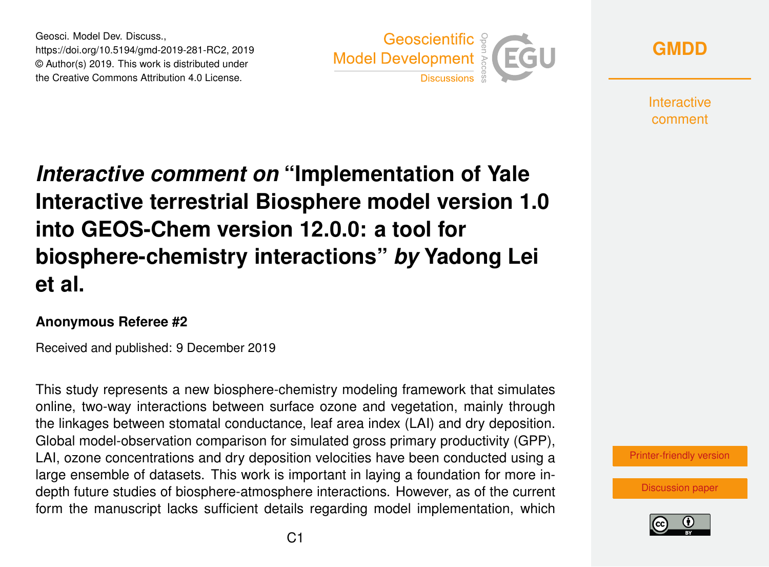Geosci. Model Dev. Discuss., https://doi.org/10.5194/gmd-2019-281-RC2, 2019 © Author(s) 2019. This work is distributed under the Creative Commons Attribution 4.0 License.





**Interactive** comment

## *Interactive comment on* **"Implementation of Yale Interactive terrestrial Biosphere model version 1.0 into GEOS-Chem version 12.0.0: a tool for biosphere-chemistry interactions"** *by* **Yadong Lei et al.**

## **Anonymous Referee #2**

Received and published: 9 December 2019

This study represents a new biosphere-chemistry modeling framework that simulates online, two-way interactions between surface ozone and vegetation, mainly through the linkages between stomatal conductance, leaf area index (LAI) and dry deposition. Global model-observation comparison for simulated gross primary productivity (GPP), LAI, ozone concentrations and dry deposition velocities have been conducted using a large ensemble of datasets. This work is important in laying a foundation for more indepth future studies of biosphere-atmosphere interactions. However, as of the current form the manuscript lacks sufficient details regarding model implementation, which



[Discussion paper](https://www.geosci-model-dev-discuss.net/gmd-2019-281)

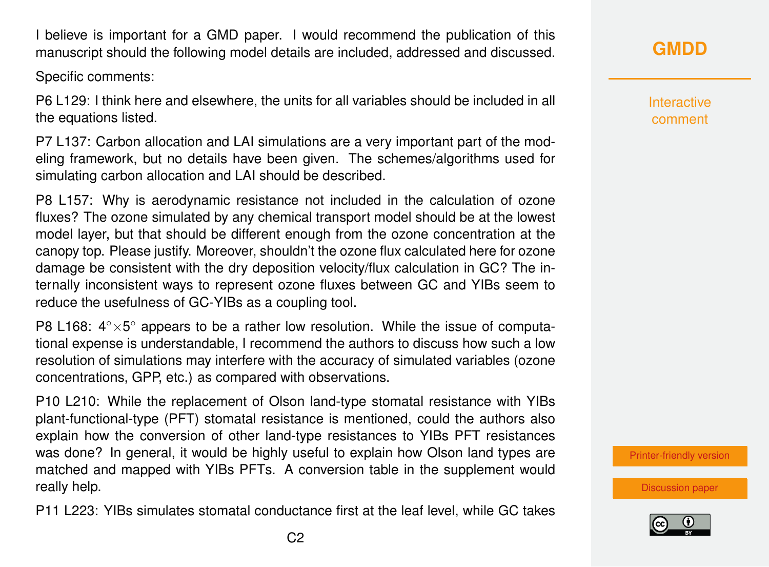I believe is important for a GMD paper. I would recommend the publication of this manuscript should the following model details are included, addressed and discussed.

Specific comments:

P6 L129: I think here and elsewhere, the units for all variables should be included in all the equations listed.

P7 L137: Carbon allocation and LAI simulations are a very important part of the modeling framework, but no details have been given. The schemes/algorithms used for simulating carbon allocation and LAI should be described.

P8 L157: Why is aerodynamic resistance not included in the calculation of ozone fluxes? The ozone simulated by any chemical transport model should be at the lowest model layer, but that should be different enough from the ozone concentration at the canopy top. Please justify. Moreover, shouldn't the ozone flux calculated here for ozone damage be consistent with the dry deposition velocity/flux calculation in GC? The internally inconsistent ways to represent ozone fluxes between GC and YIBs seem to reduce the usefulness of GC-YIBs as a coupling tool.

P8 L168: 4° × 5° appears to be a rather low resolution. While the issue of computational expense is understandable, I recommend the authors to discuss how such a low resolution of simulations may interfere with the accuracy of simulated variables (ozone concentrations, GPP, etc.) as compared with observations.

P10 L210: While the replacement of Olson land-type stomatal resistance with YIBs plant-functional-type (PFT) stomatal resistance is mentioned, could the authors also explain how the conversion of other land-type resistances to YIBs PFT resistances was done? In general, it would be highly useful to explain how Olson land types are matched and mapped with YIBs PFTs. A conversion table in the supplement would really help.

P11 L223: YIBs simulates stomatal conductance first at the leaf level, while GC takes

Interactive comment

[Printer-friendly version](https://www.geosci-model-dev-discuss.net/gmd-2019-281/gmd-2019-281-RC2-print.pdf)

[Discussion paper](https://www.geosci-model-dev-discuss.net/gmd-2019-281)